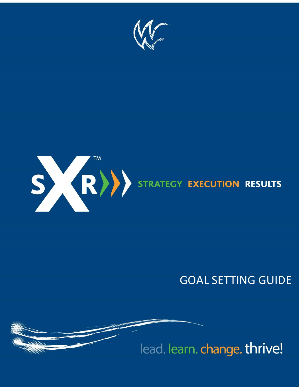



# **GOAL SETTING GUIDE**

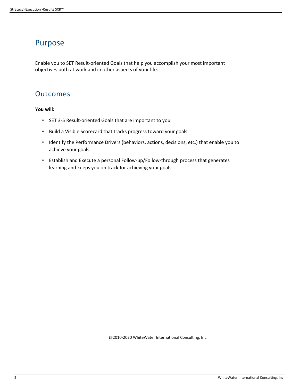## Purpose

Enable you to SET Result-oriented Goals that help you accomplish your most important objectives both at work and in other aspects of your life.

### Outcomes

**You will:** 

- SET 3-5 Result-oriented Goals that are important to you
- Build a Visible Scorecard that tracks progress toward your goals
- Identify the Performance Drivers (behaviors, actions, decisions, etc.) that enable you to achieve your goals
- Establish and Execute a personal Follow-up/Follow-through process that generates learning and keeps you on track for achieving your goals

**@**2010-2020 WhiteWater International Consulting, Inc.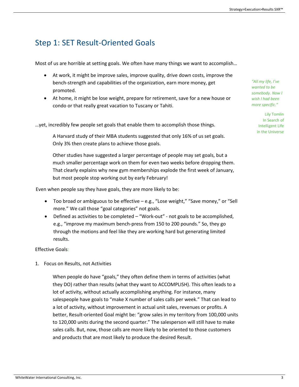# Step 1: SET Result-Oriented Goals

Most of us are horrible at setting goals. We often have many things we want to accomplish...

- At work, it might be improve sales, improve quality, drive down costs, improve the bench-strength and capabilities of the organization, earn more money, get promoted.
- At home, it might be lose weight, prepare for retirement, save for a new house or condo or that really great vacation to Tuscany or Tahiti.

...yet, incredibly few people set goals that enable them to accomplish those things.

A Harvard study of their MBA students suggested that only 16% of us set goals. Only 3% then create plans to achieve those goals.

Other studies have suggested a larger percentage of people may set goals, but a much smaller percentage work on them for even two weeks before dropping them. That clearly explains why new gym memberships explode the first week of January, but most people stop working out by early February!

Even when people say they have goals, they are more likely to be:

- Too broad or ambiguous to be effective e.g., "Lose weight," "Save money," or "Sell more." We call those "goal categories" not goals.
- Defined as activities to be completed  $-$  "Work-out" not goals to be accomplished, e.g., "improve my maximum bench-press from 150 to 200 pounds." So, they go through the motions and feel like they are working hard but generating limited results.

### Effective Goals:

1. Focus on Results, not Activities

When people do have "goals," they often define them in terms of activities (what they DO) rather than results (what they want to ACCOMPLISH). This often leads to a lot of activity, without actually accomplishing anything. For instance, many salespeople have goals to "make X number of sales calls per week." That can lead to a lot of activity, without improvement in actual unit sales, revenues or profits. A better, Result-oriented Goal might be: "grow sales in my territory from 100,000 units to 120,000 units during the second quarter." The salesperson will still have to make sales calls. But, now, those calls are more likely to be oriented to those customers and products that are most likely to produce the desired Result.

*"All my life, I've wanted to be somebody. Now I wish I had been more specific."* 

> Lily Tomlin In Search of Intelligent Life in the Universe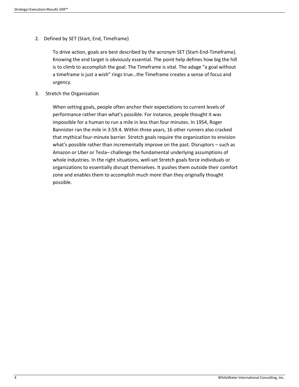2. Defined by SET (Start, End, Timeframe)

To drive action, goals are best described by the acronym SET (Start-End-Timeframe). Knowing the end target is obviously essential. The point help defines how big the hill is to climb to accomplish the goal. The Timeframe is vital. The adage "a goal without a timeframe is just a wish" rings true...the Timeframe creates a sense of focus and urgency.

3. Stretch the Organization

When setting goals, people often anchor their expectations to current levels of performance rather than what's possible. For instance, people thought it was impossible for a human to run a mile in less than four minutes. In 1954, Roger Bannister ran the mile in 3:59.4. Within three years, 16 other runners also cracked that mythical four-minute barrier. Stretch goals require the organization to envision what's possible rather than incrementally improve on the past. Disruptors - such as Amazon or Uber or Tesla-challenge the fundamental underlying assumptions of whole industries. In the right situations, well-set Stretch goals force individuals or organizations to essentially disrupt themselves. It pushes them outside their comfort zone and enables them to accomplish much more than they originally thought possible.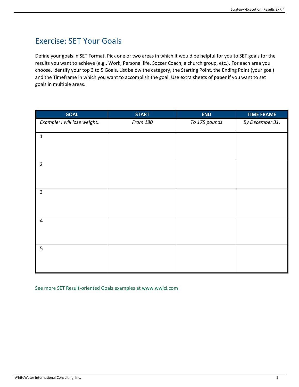# Exercise: SET Your Goals

Define your goals in SET Format. Pick one or two areas in which it would be helpful for you to SET goals for the results you want to achieve (e.g., Work, Personal life, Soccer Coach, a church group, etc.). For each area you choose, identify your top 3 to 5 Goals. List below the category, the Starting Point, the Ending Point (your goal) and the Timeframe in which you want to accomplish the goal. Use extra sheets of paper if you want to set goals in multiple areas.

| <b>GOAL</b>                 | <b>START</b> | <b>END</b>    | <b>TIME FRAME</b> |
|-----------------------------|--------------|---------------|-------------------|
| Example: I will lose weight | From 180     | To 175 pounds | By December 31.   |
| $\mathbf 1$                 |              |               |                   |
|                             |              |               |                   |
| $\overline{2}$              |              |               |                   |
|                             |              |               |                   |
| $\mathbf{3}$                |              |               |                   |
|                             |              |               |                   |
| $\overline{\mathbf{4}}$     |              |               |                   |
|                             |              |               |                   |
| 5                           |              |               |                   |
|                             |              |               |                   |

See more SET Result-oriented Goals examples at www.wwici.com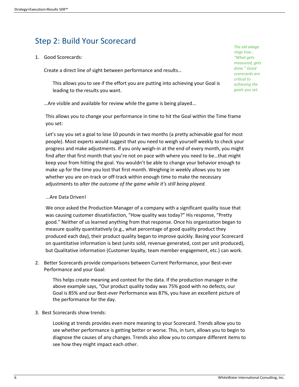# Step 2: Build Your Scorecard

1. Good Scorecards:

Create a direct line of sight between performance and results...

This allows you to see if the effort you are putting into achieving your Goal is leading to the results you want.

... Are visible and available for review while the game is being played...

This allows you to change your performance in time to hit the Goal within the Time frame you set:

Let's say you set a goal to lose 10 pounds in two months (a pretty achievable goal for most people). Most experts would suggest that you need to weigh yourself weekly to check your progress and make adjustments. If you only weigh-in at the end of every month, you might find after that first month that you're not on pace with where you need to be...that might keep your from hitting the goal. You wouldn't be able to change your behavior enough to make up for the time you lost that first month. Weighing in weekly allows you to see whether you are on-track or off-track within enough time to make the necessary adjustments to *alter the outcome of the game while it's still being played.*

### ...Are Data Driven!

We once asked the Production Manager of a company with a significant quality issue that was causing customer dissatisfaction, "How quality was today?" His response, "Pretty good." Neither of us learned anything from that response. Once his organization began to measure quality quantitatively (e.g., what percentage of good quality product they produced each day), their product quality began to improve quickly. Basing your Scorecard on quantitative information is best (units sold, revenue generated, cost per unit produced), but Qualitative information (Customer loyalty, team member engagement, etc.) can work.

2. Better Scorecards provide comparisons between Current Performance, your Best-ever Performance and your Goal:

This helps create meaning and context for the data. If the production manager in the above example says, "Our product quality today was 75% good with no defects, our Goal is 85% and our Best-ever Performance was 87%, you have an excellent picture of the performance for the day.

3. Best Scorecards show trends:

Looking at trends provides even more meaning to your Scorecard. Trends allow you to see whether performance is getting better or worse. This, in turn, allows you to begin to diagnose the causes of any changes. Trends also allow you to compare different items to see how they might impact each other.

*The old adage rings true… "What gets measured, gets done." Good scorecards are critical to achieving the goals you set.*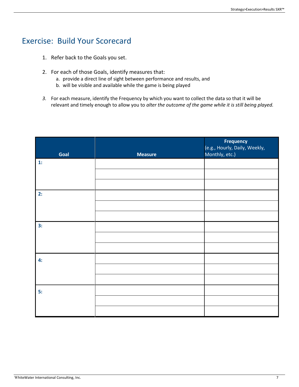# Exercise: Build Your Scorecard

- 1. Refer back to the Goals you set.
- 2. For each of those Goals, identify measures that:
	- a. provide a direct line of sight between performance and results, and
	- b. will be visible and available while the game is being played
- *3.* For each measure, identify the Frequency by which you want to collect the data so that it will be relevant and timely enough to allow you to *alter the outcome of the game while it is still being played.*

| Goal | <b>Measure</b> | <b>Frequency</b><br>(e.g., Hourly, Daily, Weekly,<br>Monthly, etc.) |
|------|----------------|---------------------------------------------------------------------|
| 1:   |                |                                                                     |
|      |                |                                                                     |
|      |                |                                                                     |
| 2:   |                |                                                                     |
|      |                |                                                                     |
|      |                |                                                                     |
| 3:   |                |                                                                     |
|      |                |                                                                     |
|      |                |                                                                     |
| 4:   |                |                                                                     |
|      |                |                                                                     |
|      |                |                                                                     |
| 5:   |                |                                                                     |
|      |                |                                                                     |
|      |                |                                                                     |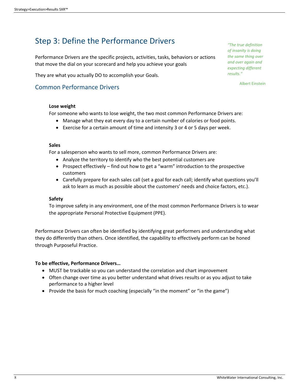# Step 3: Define the Performance Drivers

Performance Drivers are the specific projects, activities, tasks, behaviors or actions that move the dial on your scorecard and help you achieve your goals

They are what you actually DO to accomplish your Goals.

### Common Performance Drivers

### **Lose weight**

For someone who wants to lose weight, the two most common Performance Drivers are:

- Manage what they eat every day to a certain number of calories or food points.
- Exercise for a certain amount of time and intensity 3 or 4 or 5 days per week.

### **Sales**

For a salesperson who wants to sell more, common Performance Drivers are:

- Analyze the territory to identify who the best potential customers are
- Prospect effectively find out how to get a "warm" introduction to the prospective customers
- Carefully prepare for each sales call (set a goal for each call; identify what questions you'll ask to learn as much as possible about the customers' needs and choice factors, etc.).

### **Safety**

To improve safety in any environment, one of the most common Performance Drivers is to wear the appropriate Personal Protective Equipment (PPE).

Performance Drivers can often be identified by identifying great performers and understanding what they do differently than others. Once identified, the capability to effectively perform can be honed through Purposeful Practice.

### **To be effective, Performance Drivers…**

- MUST be trackable so you can understand the correlation and chart improvement
- Often change over time as you better understand what drives results or as you adjust to take performance to a higher level
- Provide the basis for much coaching (especially "in the moment" or "in the game")

*"The true definition of insanity is doing the same thing over and over again and expecting different results."*

Albert Einstein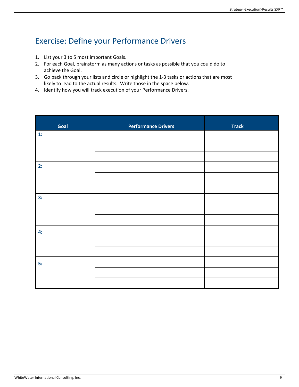# Exercise: Define your Performance Drivers

- 1. List your 3 to 5 most important Goals.
- 2. For each Goal, brainstorm as many actions or tasks as possible that you could do to achieve the Goal.
- 3. Go back through your lists and circle or highlight the 1-3 tasks or actions that are most likely to lead to the actual results. Write those in the space below.
- 4. Identify how you will track execution of your Performance Drivers.

| Goal | <b>Performance Drivers</b> | <b>Track</b> |
|------|----------------------------|--------------|
| 1:   |                            |              |
|      |                            |              |
| 2:   |                            |              |
|      |                            |              |
|      |                            |              |
| 3:   |                            |              |
|      |                            |              |
| 4:   |                            |              |
|      |                            |              |
|      |                            |              |
| 5:   |                            |              |
|      |                            |              |
|      |                            |              |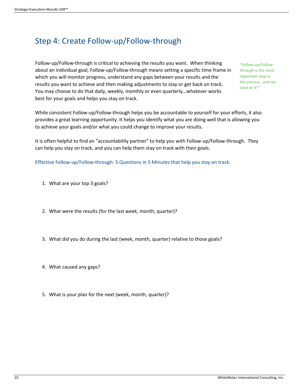# Step 4: Create Follow-up/Follow-through

Follow-up/Follow-through is critical to achieving the results you want. When thinking about an individual goal, Follow-up/Follow-through means setting a specific time frame in which you will monitor progress, understand any gaps between your results and the results you want to achieve and then making adjustments to stay or get back on track. You may choose to do that daily, weekly, monthly or even quarterly...whatever works best for your goals and helps you stay on track.

*"Follow-up/Followthrough is the most important step in the process…and we stink at it!"*

While consistent Follow-up/Follow-through helps you be accountable to yourself for your efforts, it also provides a great learning opportunity. It helps you identify what you are doing well that is allowing you to achieve your goals and/or what you could change to improve your results.

It is often helpful to find an "accountability partner" to help you with Follow-up/Follow-through. They can help you stay on track, and you can help them stay on track with their goals.

Effective Follow-up/Follow-through: 5 Questions in 5 Minutes that help you stay on track:

- 1. What are your top 3 goals?
- 2. What were the results (for the last week, month, quarter)?
- 3. What did you do during the last (week, month, quarter) relative to those goals?
- 4. What caused any gaps?
- 5. What is your plan for the next (week, month, quarter)?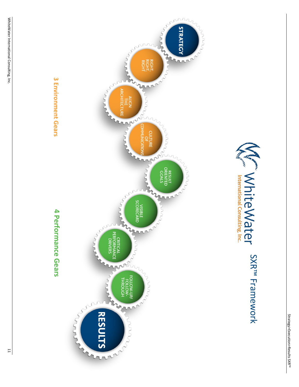



# 3 Environment Gears

# 4 Performance Gears